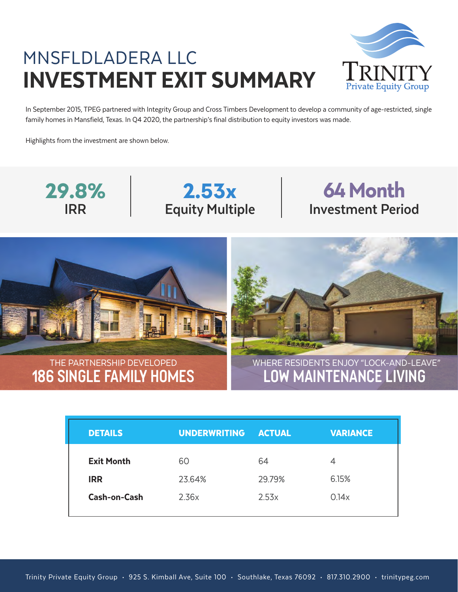## MNSFLDLADERA LLC INVESTMENT EXIT SUMMARY



In September 2015, TPEG partnered with Integrity Group and Cross Timbers Development to develop a community of age-restricted, single family homes in Mansfield, Texas. In Q4 2020, the partnership's final distribution to equity investors was made.

Highlights from the investment are shown below.









## 2015 DETAILS UNDERWRITING ACTUAL VARIANCE Exit Month IRR Cash-on-Cash 60 23.64% 2.36x 64 29.79% 2.53x 4 6.15% 0.14x